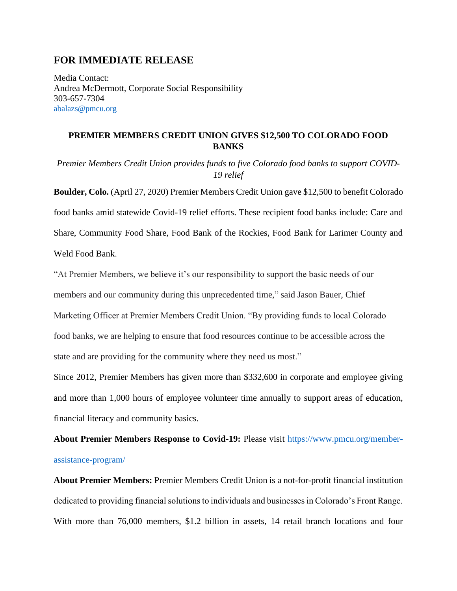## **FOR IMMEDIATE RELEASE**

Media Contact: Andrea McDermott, Corporate Social Responsibility 303-657-7304 [abalazs@pmcu.org](mailto:abalazs@pmcu.org)

## **PREMIER MEMBERS CREDIT UNION GIVES \$12,500 TO COLORADO FOOD BANKS**

*Premier Members Credit Union provides funds to five Colorado food banks to support COVID-19 relief*

**Boulder, Colo.** (April 27, 2020) Premier Members Credit Union gave \$12,500 to benefit Colorado food banks amid statewide Covid-19 relief efforts. These recipient food banks include: Care and Share, Community Food Share, Food Bank of the Rockies, Food Bank for Larimer County and Weld Food Bank.

"At Premier Members, we believe it's our responsibility to support the basic needs of our members and our community during this unprecedented time," said Jason Bauer, Chief Marketing Officer at Premier Members Credit Union. "By providing funds to local Colorado food banks, we are helping to ensure that food resources continue to be accessible across the state and are providing for the community where they need us most."

Since 2012, Premier Members has given more than \$332,600 in corporate and employee giving and more than 1,000 hours of employee volunteer time annually to support areas of education, financial literacy and community basics.

**About Premier Members Response to Covid-19:** Please visit [https://www.pmcu.org/member](https://www.pmcu.org/member-assistance-program/)[assistance-program/](https://www.pmcu.org/member-assistance-program/)

**About Premier Members:** Premier Members Credit Union is a not-for-profit financial institution dedicated to providing financial solutions to individuals and businesses in Colorado's Front Range. With more than 76,000 members, \$1.2 billion in assets, 14 retail branch locations and four